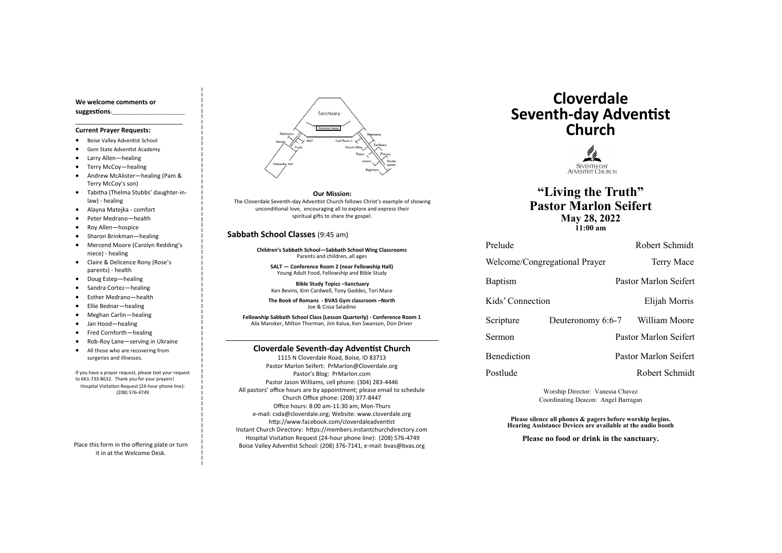#### **Cloverdale Seventh-day Adventist Church**

1115 N Cloverdale Road, Boise, ID 83713 Pastor Marlon Seifert: PrMarlon@Cloverdale.org Pastor's Blog: PrMarlon.com Pastor Jason Williams, cell phone: (304) 283-4446 All pastors' office hours are by appointment; please email to schedule Church Office phone: (208) 377-8447 Office hours: 8:00 am-11:30 am, Mon-Thurs e-mail: csda@cloverdale.org; Website: www.cloverdale.org http://www.facebook.com/cloverdaleadventist Instant Church Directory: https://members.instantchurchdirectory.com Hospital Visitation Request (24-hour phone line): (208) 576-4749 Boise Valley Adventist School: (208) 376-7141, e-mail: bvas@bvas.org

#### **We welcome comments or suggestions:**\_\_\_\_\_\_\_\_\_\_\_\_\_\_\_\_\_\_\_\_\_\_\_\_\_\_\_\_\_\_\_\_

**\_\_\_\_\_\_\_\_\_\_\_\_\_\_\_\_\_\_\_\_\_\_\_\_\_\_\_\_\_\_\_\_\_\_\_\_\_\_\_\_\_**

#### **Current Prayer Requests:**

- Boise Valley Adventist School
- Gem State Adventist Academy
- Larry Allen—healing
- Terry McCoy—healing
- Andrew McAlister—healing (Pam & Terry McCoy's son)

- Tabitha (Thelma Stubbs' daughter-inlaw) - healing
- Alayna Matejka comfort
- Peter Medrano—health
- Roy Allen—hospice
- Sharon Brinkman—healing
- Mercend Moore (Carolyn Redding's niece) - healing
- Claire & Delicence Rony (Rose's parents) - health
- Doug Estep—healing
- Sandra Cortez—healing
- Esther Medrano—health
- Ellie Bednar—healing
- Meghan Carlin—healing
- Jan Hood—healing
- Fred Cornforth—healing
- Rob-Roy Lane—serving in Ukraine
- All those who are recovering from surgeries and illnesses.

If you have a prayer request, please text your request to 661-733-8632. Thank you for your prayers! Hospital Visitation Request (24-hour phone line): (208) 576-4749

Place this form in the offering plate or turn it in at the Welcome Desk.



#### **Sabbath School Classes** (9:45 am)

**Children's Sabbath School—Sabbath School Wing Classrooms** Parents and children, all ages

**SALT — Conference Room 2 (near Fellowship Hall)** Young Adult Food, Fellowship and Bible Study

**Bible Study Topics –Sanctuary** Ken Bevins, Kim Cardwell, Tony Geddes, Tori Mace

**The Book of Romans - BVAS Gym classroom –North** Joe & Cissa Saladino

**Fellowship Sabbath School Class (Lesson Quarterly) - Conference Room 1** Alix Mansker, Milton Thorman, Jim Kalua, Ken Swanson, Don Driver

# **Cloverdale Seventh-day Adventist Church**



**"Living the Truth" May 28, 2022**

Welcome/Congregational Prayer Terry Mace

Kids' Connection Elijah Morris

# **Pastor Marlon Seifert 11:00 am**

Prelude Robert Schmidt

Baptism Pastor Marlon Seifert

Scripture Deuteronomy 6:6-7 William Moore

Sermon Pastor Marlon Seifert

Benediction Pastor Marlon Seifert

Postlude Robert Schmidt

Worship Director: Vanessa Chavez Coordinating Deacon: Angel Barragan

**Please silence all phones & pagers before worship begins. Hearing Assistance Devices are available at the audio booth**

**Please no food or drink in the sanctuary.**

**Our Mission:**

The Cloverdale Seventh-day Adventist Church follows Christ's example of showing unconditional love, encouraging all to explore and express their spiritual gifts to share the gospel.